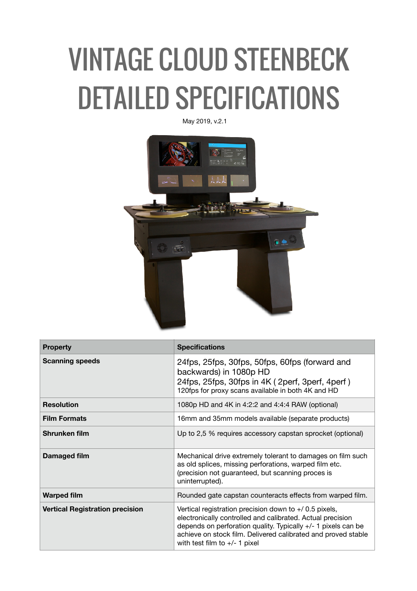## VINTAGE CLOUD STEENBECK DETAILED SPECIFICATIONS

May 2019, v.2.1



| <b>Property</b>                        | <b>Specifications</b>                                                                                                                                                                                                                                                                      |
|----------------------------------------|--------------------------------------------------------------------------------------------------------------------------------------------------------------------------------------------------------------------------------------------------------------------------------------------|
| <b>Scanning speeds</b>                 | 24fps, 25fps, 30fps, 50fps, 60fps (forward and<br>backwards) in 1080p HD<br>24fps, 25fps, 30fps in 4K (2perf, 3perf, 4perf)<br>120fps for proxy scans available in both 4K and HD                                                                                                          |
| <b>Resolution</b>                      | 1080p HD and 4K in 4:2:2 and 4:4:4 RAW (optional)                                                                                                                                                                                                                                          |
| <b>Film Formats</b>                    | 16mm and 35mm models available (separate products)                                                                                                                                                                                                                                         |
| Shrunken film                          | Up to 2,5 % requires accessory capstan sprocket (optional)                                                                                                                                                                                                                                 |
| Damaged film                           | Mechanical drive extremely tolerant to damages on film such<br>as old splices, missing perforations, warped film etc.<br>(precision not guaranteed, but scanning proces is<br>uninterrupted).                                                                                              |
| <b>Warped film</b>                     | Rounded gate capstan counteracts effects from warped film.                                                                                                                                                                                                                                 |
| <b>Vertical Registration precision</b> | Vertical registration precision down to $+$ 0.5 pixels,<br>electronically controlled and calibrated. Actual precision<br>depends on perforation quality. Typically +/- 1 pixels can be<br>achieve on stock film. Delivered calibrated and proved stable<br>with test film to $+/- 1$ pixel |